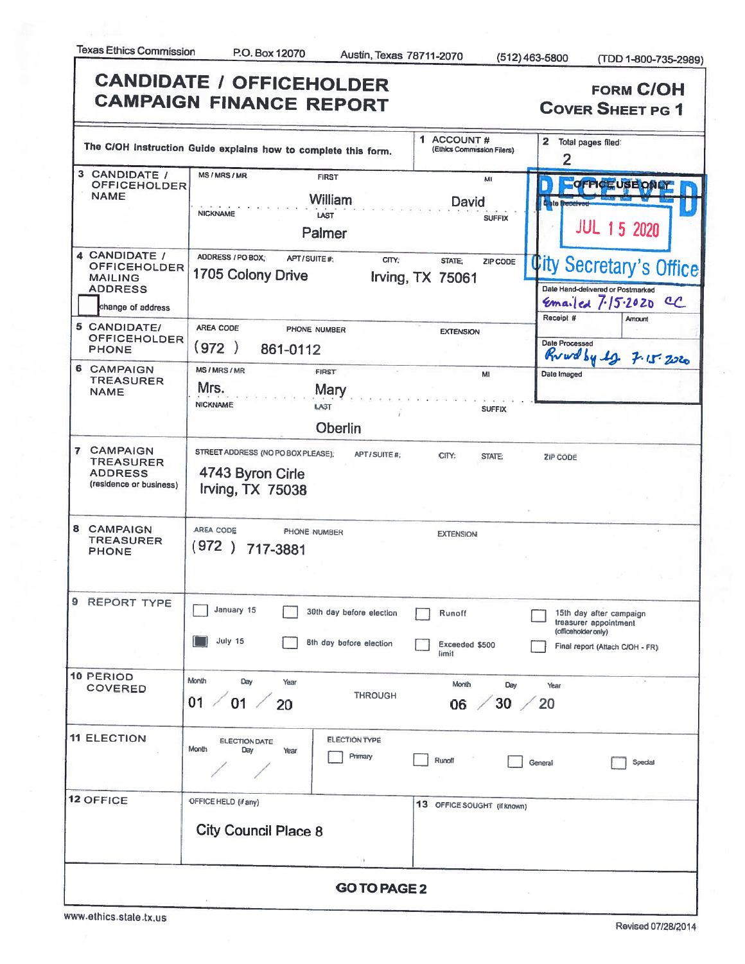|                                                                                               | <b>CANDIDATE / OFFICEHOLDER</b><br><b>CAMPAIGN FINANCE REPORT</b>                            |                                                 | <b>FORM C/OH</b><br><b>COVER SHEET PG 1</b>                                                                          |  |  |  |  |
|-----------------------------------------------------------------------------------------------|----------------------------------------------------------------------------------------------|-------------------------------------------------|----------------------------------------------------------------------------------------------------------------------|--|--|--|--|
|                                                                                               | The C/OH Instruction Guide explains how to complete this form.                               | 1 ACCOUNT#<br>(Ethics Commission Filers)        | 2 Total pages filed:<br>$\overline{2}$                                                                               |  |  |  |  |
| 3 CANDIDATE /<br><b>OFFICEHOLDER</b><br><b>NAME</b>                                           | <b>MS/MRS/MR</b><br><b>FIRST</b><br><b>William</b><br><b>NICKNAME</b><br>LAST<br>Palmer      | MI<br>David<br><b>SUFFIX</b>                    | OFFICEUSEDNAY<br>to bie Bre<br><b>JUL 15 2020</b>                                                                    |  |  |  |  |
| 4 CANDIDATE /<br><b>OFFICEHOLDER</b><br><b>MAILING</b><br><b>ADDRESS</b><br>change of address | ADDRESS / PO BOX;<br>APT/SUITE#<br>1705 Colony Drive                                         | CITY:<br>STATE:<br>ZIP CODE<br>Irving, TX 75061 | <b>City Secretary's Office</b><br>Date Hand-delivered or Postmarked<br>Emailed 7.15.2020<br>C<br>Receipt #<br>Amount |  |  |  |  |
| 5 CANDIDATE/<br><b>OFFICEHOLDER</b><br><b>PHONE</b>                                           | AREA CODE<br>PHONE NUMBER<br>(972)<br>861-0112                                               | <b>EXTENSION</b>                                | Date Processed<br>Ruad by 12 7.15.2020                                                                               |  |  |  |  |
| 6 CAMPAIGN<br><b>TREASURER</b><br><b>NAME</b>                                                 | <b>MS/MRS/MR</b><br><b>FIRST</b><br>Mrs.<br>Mary<br><b>NICKNAME</b><br>LAST                  | MI<br><b>SUFFIX</b>                             | Date Imaged                                                                                                          |  |  |  |  |
| 7 CAMPAIGN<br><b>TREASURER</b><br><b>ADDRESS</b><br>(residence or business)                   | <b>Oberlin</b><br>STREET ADDRESS (NO PO BOX PLEASE);<br>4743 Byron Cirle<br>Irving, TX 75038 | APT/SUITE#<br>CITY:<br>STATE:                   | ZIP CODE                                                                                                             |  |  |  |  |
| 8 CAMPAIGN<br><b>TREASURER</b><br><b>PHONE</b>                                                | AREA CODE<br>PHONE NUMBER<br>(972) 717-3881                                                  | <b>EXTENSION</b>                                |                                                                                                                      |  |  |  |  |
| 9 REPORT TYPE                                                                                 | January 15<br>30th day before election<br>July 15<br>8th day before election                 | Runoff<br>Exceeded \$500<br>limit               | 15th day after campaign<br>treasurer appointment<br>(officeholder only)<br>Final report (Attach C/OH - FR)           |  |  |  |  |
| <b>10 PERIOD</b><br><b>COVERED</b>                                                            | Month<br>Day<br>Year<br>01<br>01<br>20                                                       | Month<br>Day<br><b>THROUGH</b><br>30<br>06      | Year<br>20                                                                                                           |  |  |  |  |
| <b>11 ELECTION</b>                                                                            | <b>ELECTION TYPE</b><br><b>ELECTION DATE</b><br>Month<br>Day<br>Year<br>Primary              | Runoff                                          | Special<br>General                                                                                                   |  |  |  |  |
| <b>12 OFFICE</b>                                                                              | OFFICE HELD (if any)<br><b>City Council Place 8</b>                                          | 13 OFFICE SOUGHT (if known)                     |                                                                                                                      |  |  |  |  |
| <b>GO TO PAGE 2</b>                                                                           |                                                                                              |                                                 |                                                                                                                      |  |  |  |  |